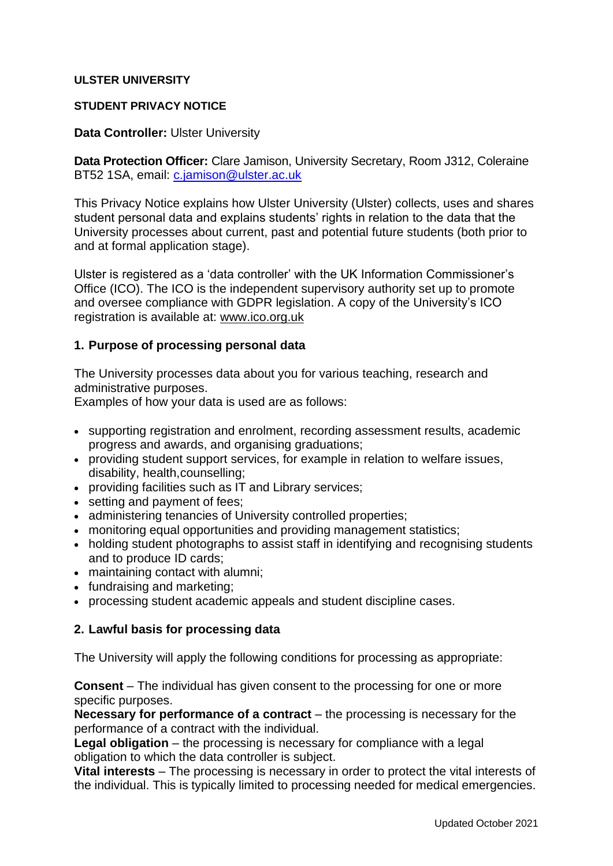## **ULSTER UNIVERSITY**

### **STUDENT PRIVACY NOTICE**

### **Data Controller:** Ulster University

**Data Protection Officer:** Clare Jamison, University Secretary, Room J312, Coleraine BT52 1SA, email: [c.jamison@ulster.ac.uk](mailto:c.jamison@ulster.ac.uk)

This Privacy Notice explains how Ulster University (Ulster) collects, uses and shares student personal data and explains students' rights in relation to the data that the University processes about current, past and potential future students (both prior to and at formal application stage).

Ulster is registered as a 'data controller' with the UK Information Commissioner's Office (ICO). The ICO is the independent supervisory authority set up to promote and oversee compliance with GDPR legislation. A copy of the University's ICO registration is available at: [www.ico.org.uk](http://www.ico.org.uk/)

### **1. Purpose of processing personal data**

The University processes data about you for various teaching, research and administrative purposes.

Examples of how your data is used are as follows:

- supporting registration and enrolment, recording assessment results, academic progress and awards, and organising graduations;
- providing student support services, for example in relation to welfare issues, disability, health,counselling;
- providing facilities such as IT and Library services;
- setting and payment of fees:
- administering tenancies of University controlled properties;
- monitoring equal opportunities and providing management statistics;
- holding student photographs to assist staff in identifying and recognising students and to produce ID cards;
- maintaining contact with alumni;
- fundraising and marketing;
- processing student academic appeals and student discipline cases.

## **2. Lawful basis for processing data**

The University will apply the following conditions for processing as appropriate:

**Consent** – The individual has given consent to the processing for one or more specific purposes.

**Necessary for performance of a contract** – the processing is necessary for the performance of a contract with the individual.

**Legal obligation** – the processing is necessary for compliance with a legal obligation to which the data controller is subject.

**Vital interests** – The processing is necessary in order to protect the vital interests of the individual. This is typically limited to processing needed for medical emergencies.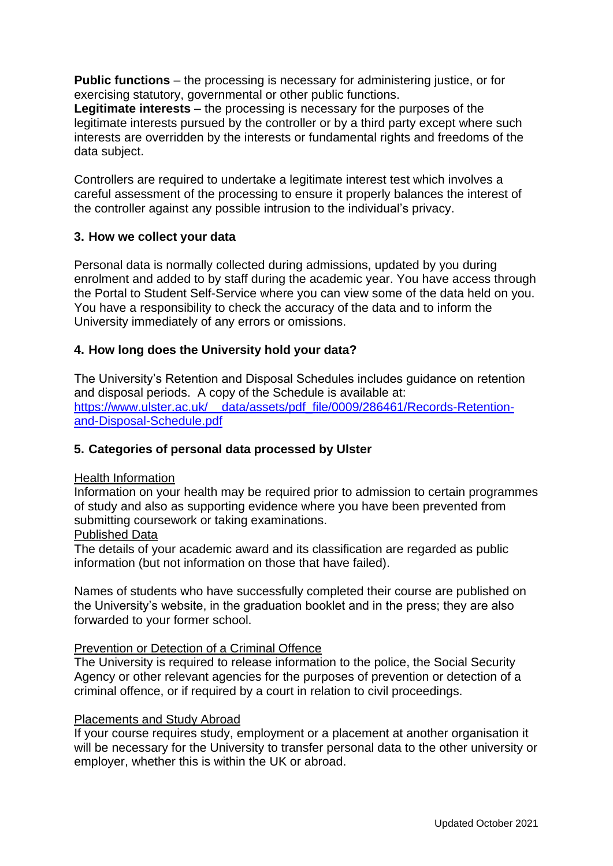**Public functions** – the processing is necessary for administering justice, or for exercising statutory, governmental or other public functions.

**Legitimate interests** – the processing is necessary for the purposes of the legitimate interests pursued by the controller or by a third party except where such interests are overridden by the interests or fundamental rights and freedoms of the data subject.

Controllers are required to undertake a legitimate interest test which involves a careful assessment of the processing to ensure it properly balances the interest of the controller against any possible intrusion to the individual's privacy.

## **3. How we collect your data**

Personal data is normally collected during admissions, updated by you during enrolment and added to by staff during the academic year. You have access through the Portal to Student Self-Service where you can view some of the data held on you. You have a responsibility to check the accuracy of the data and to inform the University immediately of any errors or omissions.

## **4. How long does the University hold your data?**

The University's Retention and Disposal Schedules includes guidance on retention and disposal periods. A copy of the Schedule is available at: https://www.ulster.ac.uk/ data/assets/pdf file/0009/286461/Records-Retention[and-Disposal-Schedule.pdf](https://www.ulster.ac.uk/__data/assets/pdf_file/0009/286461/Records-Retention-and-Disposal-Schedule.pdf)

## **5. Categories of personal data processed by Ulster**

### Health Information

Information on your health may be required prior to admission to certain programmes of study and also as supporting evidence where you have been prevented from submitting coursework or taking examinations.

### Published Data

The details of your academic award and its classification are regarded as public information (but not information on those that have failed).

Names of students who have successfully completed their course are published on the University's website, in the graduation booklet and in the press; they are also forwarded to your former school.

### Prevention or Detection of a Criminal Offence

The University is required to release information to the police, the Social Security Agency or other relevant agencies for the purposes of prevention or detection of a criminal offence, or if required by a court in relation to civil proceedings.

### Placements and Study Abroad

If your course requires study, employment or a placement at another organisation it will be necessary for the University to transfer personal data to the other university or employer, whether this is within the UK or abroad.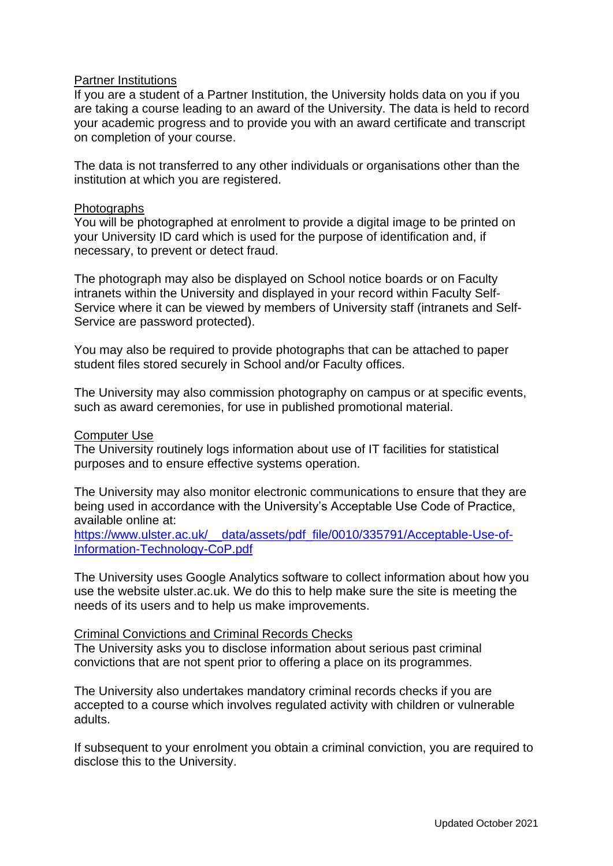### Partner Institutions

If you are a student of a Partner Institution, the University holds data on you if you are taking a course leading to an award of the University. The data is held to record your academic progress and to provide you with an award certificate and transcript on completion of your course.

The data is not transferred to any other individuals or organisations other than the institution at which you are registered.

### Photographs

You will be photographed at enrolment to provide a digital image to be printed on your University ID card which is used for the purpose of identification and, if necessary, to prevent or detect fraud.

The photograph may also be displayed on School notice boards or on Faculty intranets within the University and displayed in your record within Faculty Self-Service where it can be viewed by members of University staff (intranets and Self-Service are password protected).

You may also be required to provide photographs that can be attached to paper student files stored securely in School and/or Faculty offices.

The University may also commission photography on campus or at specific events, such as award ceremonies, for use in published promotional material.

#### Computer Use

The University routinely logs information about use of IT facilities for statistical purposes and to ensure effective systems operation.

The University may also monitor electronic communications to ensure that they are being used in accordance with the University's Acceptable Use Code of Practice, available online at:

https://www.ulster.ac.uk/ data/assets/pdf file/0010/335791/Acceptable-Use-of-[Information-Technology-CoP.pdf](https://www.ulster.ac.uk/__data/assets/pdf_file/0010/335791/Acceptable-Use-of-Information-Technology-CoP.pdf)

The University uses Google Analytics software to collect information about how you use the website ulster.ac.uk. We do this to help make sure the site is meeting the needs of its users and to help us make improvements.

### Criminal Convictions and Criminal Records Checks

The University asks you to disclose information about serious past criminal convictions that are not spent prior to offering a place on its programmes.

The University also undertakes mandatory criminal records checks if you are accepted to a course which involves regulated activity with children or vulnerable adults.

If subsequent to your enrolment you obtain a criminal conviction, you are required to disclose this to the University.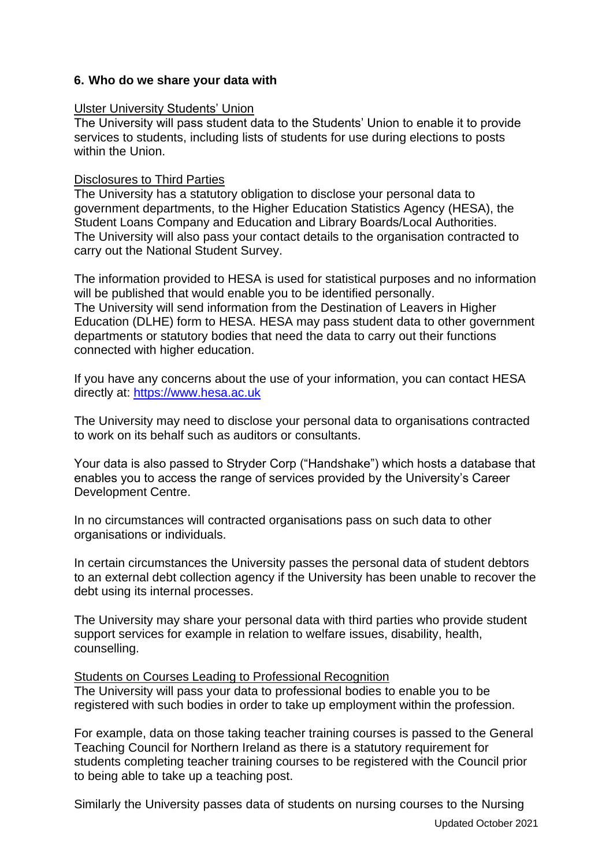## **6. Who do we share your data with**

### Ulster University Students' Union

The University will pass student data to the Students' Union to enable it to provide services to students, including lists of students for use during elections to posts within the Union.

### Disclosures to Third Parties

The University has a statutory obligation to disclose your personal data to government departments, to the Higher Education Statistics Agency (HESA), the Student Loans Company and Education and Library Boards/Local Authorities. The University will also pass your contact details to the organisation contracted to carry out the National Student Survey.

The information provided to HESA is used for statistical purposes and no information will be published that would enable you to be identified personally. The University will send information from the Destination of Leavers in Higher Education (DLHE) form to HESA. HESA may pass student data to other government departments or statutory bodies that need the data to carry out their functions connected with higher education.

If you have any concerns about the use of your information, you can contact HESA directly at: [https://www.hesa.ac.uk](https://www.hesa.ac.uk/)

The University may need to disclose your personal data to organisations contracted to work on its behalf such as auditors or consultants.

Your data is also passed to Stryder Corp ("Handshake") which hosts a database that enables you to access the range of services provided by the University's Career Development Centre.

In no circumstances will contracted organisations pass on such data to other organisations or individuals.

In certain circumstances the University passes the personal data of student debtors to an external debt collection agency if the University has been unable to recover the debt using its internal processes.

The University may share your personal data with third parties who provide student support services for example in relation to welfare issues, disability, health, counselling.

## Students on Courses Leading to Professional Recognition

The University will pass your data to professional bodies to enable you to be registered with such bodies in order to take up employment within the profession.

For example, data on those taking teacher training courses is passed to the General Teaching Council for Northern Ireland as there is a statutory requirement for students completing teacher training courses to be registered with the Council prior to being able to take up a teaching post.

Similarly the University passes data of students on nursing courses to the Nursing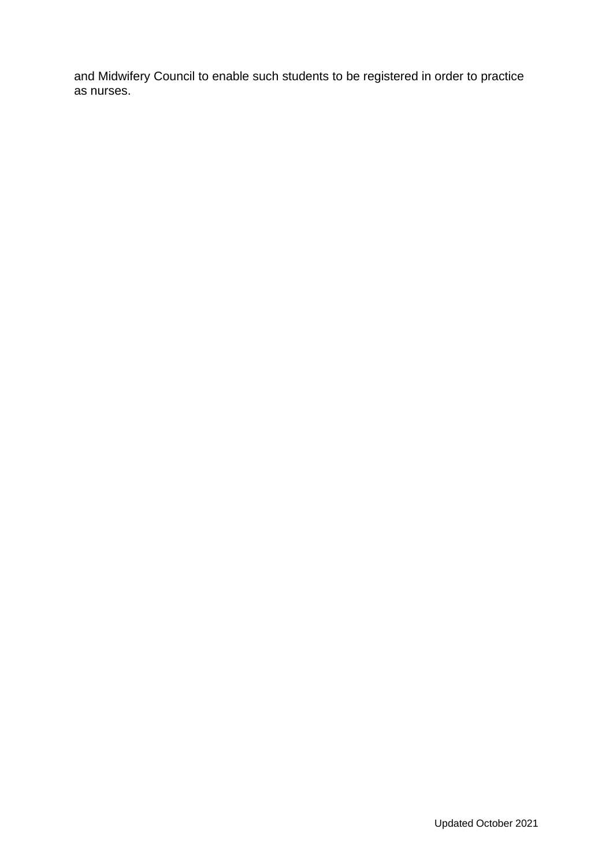and Midwifery Council to enable such students to be registered in order to practice as nurses.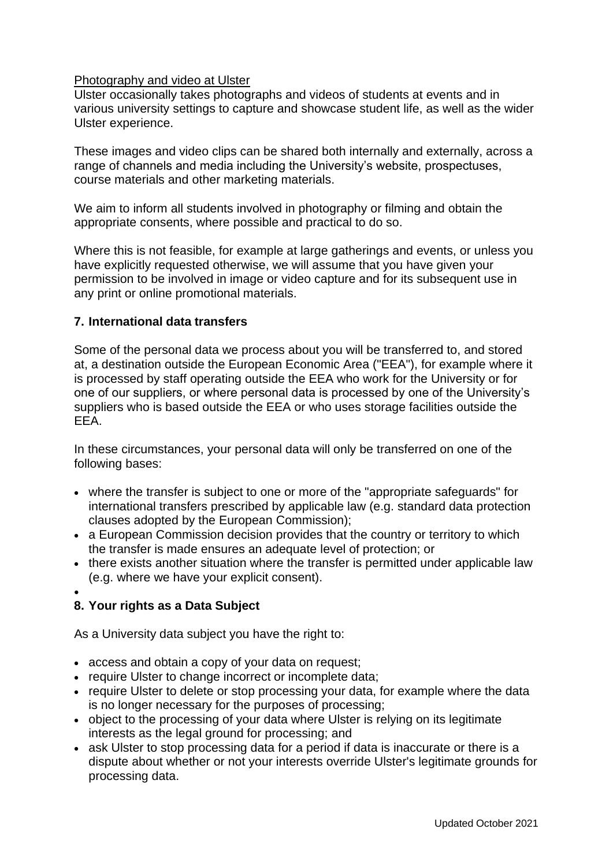## Photography and video at Ulster

Ulster occasionally takes photographs and videos of students at events and in various university settings to capture and showcase student life, as well as the wider Ulster experience.

These images and video clips can be shared both internally and externally, across a range of channels and media including the University's website, prospectuses, course materials and other marketing materials.

We aim to inform all students involved in photography or filming and obtain the appropriate consents, where possible and practical to do so.

Where this is not feasible, for example at large gatherings and events, or unless you have explicitly requested otherwise, we will assume that you have given your permission to be involved in image or video capture and for its subsequent use in any print or online promotional materials.

## **7. International data transfers**

Some of the personal data we process about you will be transferred to, and stored at, a destination outside the European Economic Area ("EEA"), for example where it is processed by staff operating outside the EEA who work for the University or for one of our suppliers, or where personal data is processed by one of the University's suppliers who is based outside the EEA or who uses storage facilities outside the EEA.

In these circumstances, your personal data will only be transferred on one of the following bases:

- where the transfer is subject to one or more of the "appropriate safeguards" for international transfers prescribed by applicable law (e.g. standard data protection clauses adopted by the European Commission);
- a European Commission decision provides that the country or territory to which the transfer is made ensures an adequate level of protection; or
- there exists another situation where the transfer is permitted under applicable law (e.g. where we have your explicit consent).
- •

# **8. Your rights as a Data Subject**

As a University data subject you have the right to:

- access and obtain a copy of your data on request;
- require Ulster to change incorrect or incomplete data;
- require Ulster to delete or stop processing your data, for example where the data is no longer necessary for the purposes of processing;
- object to the processing of your data where Ulster is relying on its legitimate interests as the legal ground for processing; and
- ask Ulster to stop processing data for a period if data is inaccurate or there is a dispute about whether or not your interests override Ulster's legitimate grounds for processing data.